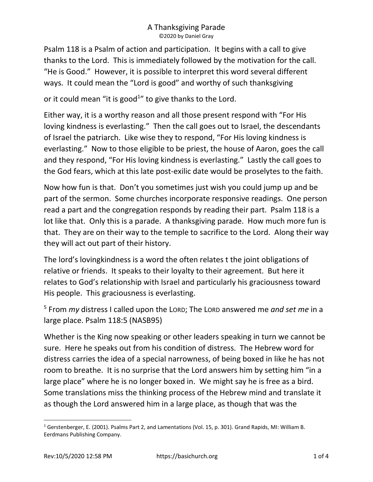Psalm 118 is a Psalm of action and participation. It begins with a call to give thanks to the Lord. This is immediately followed by the motivation for the call. "He is Good." However, it is possible to interpret this word several different ways. It could mean the "Lord is good" and worthy of such thanksgiving

or it could mean "it is good $1$ " to give thanks to the Lord.

Either way, it is a worthy reason and all those present respond with "For His loving kindness is everlasting." Then the call goes out to Israel, the descendants of Israel the patriarch. Like wise they to respond, "For His loving kindness is everlasting." Now to those eligible to be priest, the house of Aaron, goes the call and they respond, "For His loving kindness is everlasting." Lastly the call goes to the God fears, which at this late post-exilic date would be proselytes to the faith.

Now how fun is that. Don't you sometimes just wish you could jump up and be part of the sermon. Some churches incorporate responsive readings. One person read a part and the congregation responds by reading their part. Psalm 118 is a lot like that. Only this is a parade. A thanksgiving parade. How much more fun is that. They are on their way to the temple to sacrifice to the Lord. Along their way they will act out part of their history.

The lord's lovingkindness is a word the often relates t the joint obligations of relative or friends. It speaks to their loyalty to their agreement. But here it relates to God's relationship with Israel and particularly his graciousness toward His people. This graciousness is everlasting.

<sup>5</sup> From my distress I called upon the LORD; The LORD answered me and set me in a large place. Psalm 118:5 (NASB95)

Whether is the King now speaking or other leaders speaking in turn we cannot be sure. Here he speaks out from his condition of distress. The Hebrew word for distress carries the idea of a special narrowness, of being boxed in like he has not room to breathe. It is no surprise that the Lord answers him by setting him "in a large place" where he is no longer boxed in. We might say he is free as a bird. Some translations miss the thinking process of the Hebrew mind and translate it as though the Lord answered him in a large place, as though that was the

<sup>&</sup>lt;sup>1</sup> Gerstenberger, E. (2001). Psalms Part 2, and Lamentations (Vol. 15, p. 301). Grand Rapids, MI: William B. Eerdmans Publishing Company.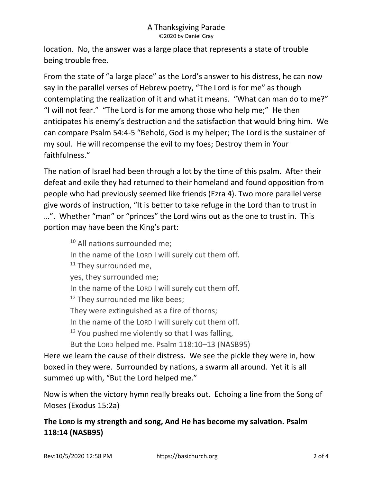location. No, the answer was a large place that represents a state of trouble being trouble free.

From the state of "a large place" as the Lord's answer to his distress, he can now say in the parallel verses of Hebrew poetry, "The Lord is for me" as though contemplating the realization of it and what it means. "What can man do to me?" "I will not fear." "The Lord is for me among those who help me;" He then anticipates his enemy's destruction and the satisfaction that would bring him. We can compare Psalm 54:4-5 "Behold, God is my helper; The Lord is the sustainer of my soul. He will recompense the evil to my foes; Destroy them in Your faithfulness."

The nation of Israel had been through a lot by the time of this psalm. After their defeat and exile they had returned to their homeland and found opposition from people who had previously seemed like friends (Ezra 4). Two more parallel verse give words of instruction, "It is better to take refuge in the Lord than to trust in …". Whether "man" or "princes" the Lord wins out as the one to trust in. This portion may have been the King's part:

<sup>10</sup> All nations surrounded me; In the name of the LORD I will surely cut them off. <sup>11</sup> They surrounded me, yes, they surrounded me; In the name of the LORD I will surely cut them off. <sup>12</sup> They surrounded me like bees; They were extinguished as a fire of thorns; In the name of the LORD I will surely cut them off.  $13$  You pushed me violently so that I was falling, But the LORD helped me. Psalm 118:10–13 (NASB95)

Here we learn the cause of their distress. We see the pickle they were in, how boxed in they were. Surrounded by nations, a swarm all around. Yet it is all summed up with, "But the Lord helped me."

Now is when the victory hymn really breaks out. Echoing a line from the Song of Moses (Exodus 15:2a)

The LORD is my strength and song, And He has become my salvation. Psalm 118:14 (NASB95)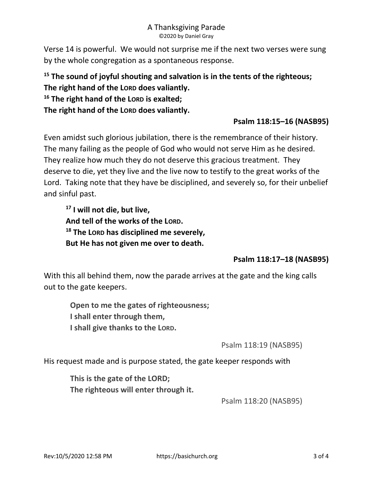#### A Thanksgiving Parade ©2020 by Daniel Gray

Verse 14 is powerful. We would not surprise me if the next two verses were sung by the whole congregation as a spontaneous response.

# $15$  The sound of joyful shouting and salvation is in the tents of the righteous; The right hand of the LORD does valiantly.  $16$  The right hand of the LORD is exalted; The right hand of the LORD does valiantly.

## Psalm 118:15–16 (NASB95)

Even amidst such glorious jubilation, there is the remembrance of their history. The many failing as the people of God who would not serve Him as he desired. They realize how much they do not deserve this gracious treatment. They deserve to die, yet they live and the live now to testify to the great works of the Lord. Taking note that they have be disciplined, and severely so, for their unbelief and sinful past.

<sup>17</sup> I will not die, but live, And tell of the works of the LORD.  $18$  The LORD has disciplined me severely, But He has not given me over to death.

## Psalm 118:17–18 (NASB95)

With this all behind them, now the parade arrives at the gate and the king calls out to the gate keepers.

Open to me the gates of righteousness; I shall enter through them, I shall give thanks to the LORD.

Psalm 118:19 (NASB95)

His request made and is purpose stated, the gate keeper responds with

This is the gate of the LORD; The righteous will enter through it.

Psalm 118:20 (NASB95)